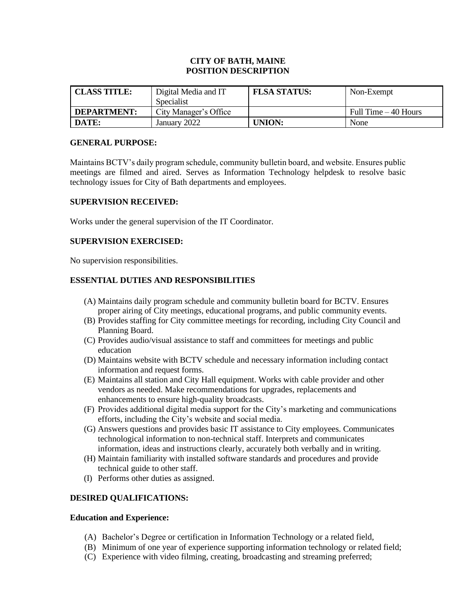## **CITY OF BATH, MAINE POSITION DESCRIPTION**

| <b>CLASS TITLE:</b> | Digital Media and IT  | <b>FLSA STATUS:</b> | Non-Exempt            |
|---------------------|-----------------------|---------------------|-----------------------|
|                     | Specialist            |                     |                       |
| <b>DEPARTMENT:</b>  | City Manager's Office |                     | Full Time $-40$ Hours |
| DATE:               | January 2022          | UNION:              | None                  |

#### **GENERAL PURPOSE:**

Maintains BCTV's daily program schedule, community bulletin board, and website. Ensures public meetings are filmed and aired. Serves as Information Technology helpdesk to resolve basic technology issues for City of Bath departments and employees.

#### **SUPERVISION RECEIVED:**

Works under the general supervision of the IT Coordinator.

#### **SUPERVISION EXERCISED:**

No supervision responsibilities.

## **ESSENTIAL DUTIES AND RESPONSIBILITIES**

- (A) Maintains daily program schedule and community bulletin board for BCTV. Ensures proper airing of City meetings, educational programs, and public community events.
- (B) Provides staffing for City committee meetings for recording, including City Council and Planning Board.
- (C) Provides audio/visual assistance to staff and committees for meetings and public education
- (D) Maintains website with BCTV schedule and necessary information including contact information and request forms.
- (E) Maintains all station and City Hall equipment. Works with cable provider and other vendors as needed. Make recommendations for upgrades, replacements and enhancements to ensure high-quality broadcasts.
- (F) Provides additional digital media support for the City's marketing and communications efforts, including the City's website and social media.
- (G) Answers questions and provides basic IT assistance to City employees. Communicates technological information to non-technical staff. Interprets and communicates information, ideas and instructions clearly, accurately both verbally and in writing.
- (H) Maintain familiarity with installed software standards and procedures and provide technical guide to other staff.
- (I) Performs other duties as assigned.

#### **DESIRED QUALIFICATIONS:**

#### **Education and Experience:**

- (A) Bachelor's Degree or certification in Information Technology or a related field,
- (B) Minimum of one year of experience supporting information technology or related field;
- (C) Experience with video filming, creating, broadcasting and streaming preferred;